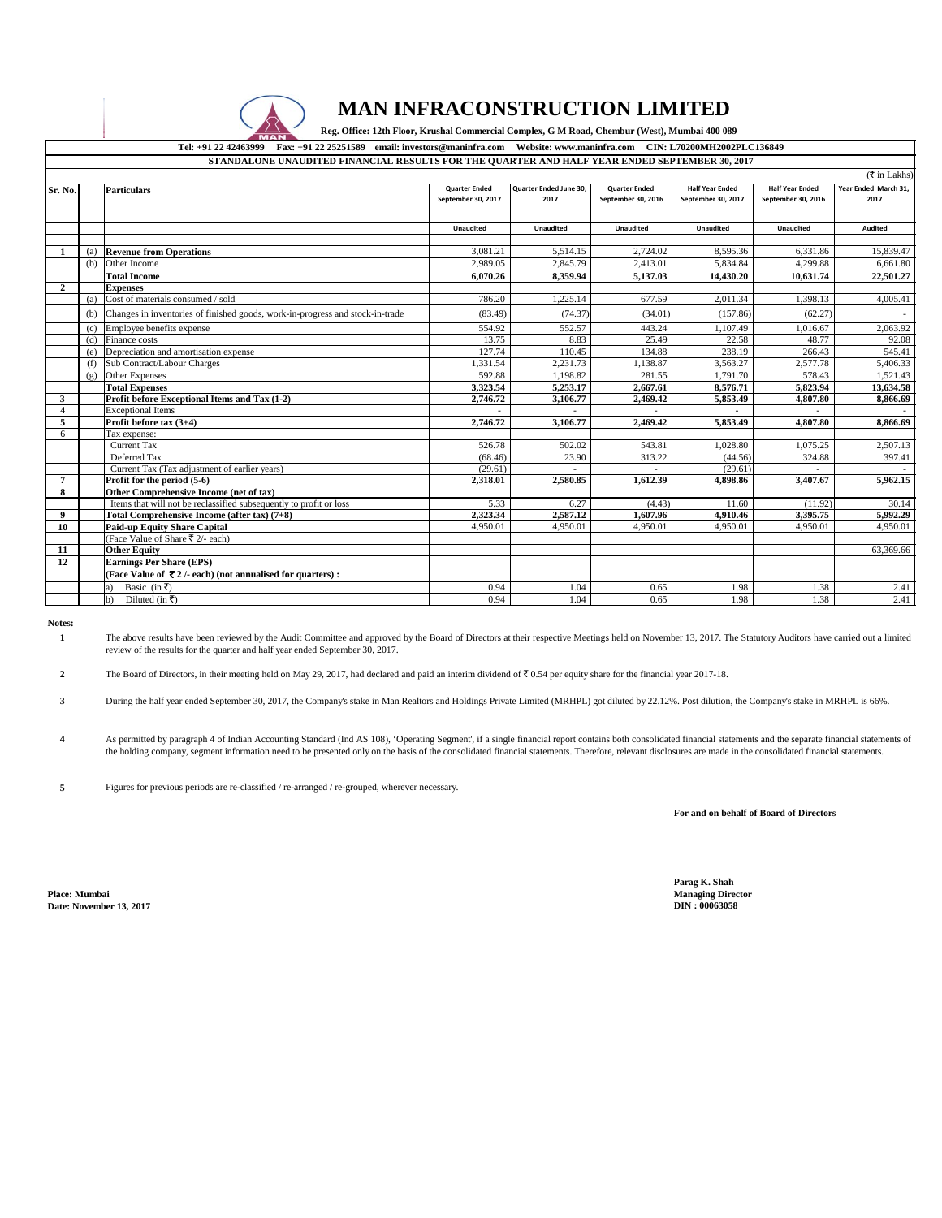

## **MAN INFRACONSTRUCTION LIMITED**

Reg. Office: 12th Floor, Krushal Commercial Complex, G M Road, Chembur (West), Mumbai 400 089

## **Tel: +91 22 42463999 Fax: +91 22 25251589 email: investors@maninfra.com Website: www.maninfra.com CIN: L70200MH2002PLC136849 STANDALONE UNAUDITED FINANCIAL RESULTS FOR THE QUARTER AND HALF YEAR ENDED SEPTEMBER 30, 2017**

|                |     |                                                                                                                      |                                            |                                |                                            |                                              |                                              | $(\overline{\mathfrak{F}}$ in Lakhs) |
|----------------|-----|----------------------------------------------------------------------------------------------------------------------|--------------------------------------------|--------------------------------|--------------------------------------------|----------------------------------------------|----------------------------------------------|--------------------------------------|
| Sr. No.        |     | <b>Particulars</b>                                                                                                   | <b>Quarter Ended</b><br>September 30, 2017 | Quarter Ended June 30,<br>2017 | <b>Quarter Ended</b><br>September 30, 2016 | <b>Half Year Ended</b><br>September 30, 2017 | <b>Half Year Ended</b><br>September 30, 2016 | Year Ended March 31,<br>2017         |
|                |     |                                                                                                                      | <b>Unaudited</b>                           | <b>Unaudited</b>               | <b>Unaudited</b>                           | <b>Unaudited</b>                             | <b>Unaudited</b>                             | <b>Audited</b>                       |
| -1             | (a) | <b>Revenue from Operations</b>                                                                                       | 3,081.21                                   | 5,514.15                       | 2,724.02                                   | 8,595.36                                     | 6,331.86                                     | 15,839.47                            |
|                | (b) | Other Income                                                                                                         | 2.989.05                                   | 2,845.79                       | 2,413.01                                   | 5,834.84                                     | 4.299.88                                     | 6,661.80                             |
|                |     | <b>Total Income</b>                                                                                                  | 6.070.26                                   | 8,359.94                       | 5,137.03                                   | 14,430.20                                    | 10,631.74                                    | 22,501.27                            |
| $\overline{2}$ |     | <b>Expenses</b>                                                                                                      |                                            |                                |                                            |                                              |                                              |                                      |
|                | (a) | Cost of materials consumed / sold                                                                                    | 786.20                                     | 1,225.14                       | 677.59                                     | 2,011.34                                     | 1.398.13                                     | 4,005.41                             |
|                | (b) | Changes in inventories of finished goods, work-in-progress and stock-in-trade                                        | (83.49)                                    | (74.37)                        | (34.01)                                    | (157.86)                                     | (62.27)                                      |                                      |
|                | (c) | Employee benefits expense                                                                                            | 554.92                                     | 552.57                         | 443.24                                     | 1,107.49                                     | 1,016.67                                     | 2,063.92                             |
|                | (d) | Finance costs                                                                                                        | 13.75                                      | 8.83                           | 25.49                                      | 22.58                                        | 48.77                                        | 92.08                                |
|                | (e) | Depreciation and amortisation expense                                                                                | 127.74                                     | 110.45                         | 134.88                                     | 238.19                                       | 266.43                                       | 545.41                               |
|                | (f) | Sub Contract/Labour Charges                                                                                          | 1,331.54                                   | 2,231.73                       | 1,138.87                                   | 3,563.27                                     | 2,577.78                                     | 5,406.33                             |
|                | (g) | <b>Other Expenses</b>                                                                                                | 592.88                                     | 1,198.82                       | 281.55                                     | 1,791.70                                     | 578.43                                       | 1,521.43                             |
|                |     | <b>Total Expenses</b>                                                                                                | 3.323.54                                   | 5,253.17                       | 2.667.61                                   | 8.576.71                                     | 5,823.94                                     | 13,634.58                            |
| 3              |     | Profit before Exceptional Items and Tax (1-2)                                                                        | 2,746.72                                   | 3,106.77                       | 2,469.42                                   | 5,853.49                                     | 4,807.80                                     | 8,866.69                             |
| $\overline{4}$ |     | <b>Exceptional Items</b>                                                                                             |                                            |                                |                                            |                                              |                                              |                                      |
| $\overline{5}$ |     | Profit before tax (3+4)                                                                                              | 2,746.72                                   | 3.106.77                       | 2.469.42                                   | 5,853.49                                     | 4.807.80                                     | 8.866.69                             |
| 6              |     | Tax expense:                                                                                                         |                                            |                                |                                            |                                              |                                              |                                      |
|                |     | <b>Current Tax</b>                                                                                                   | 526.78                                     | 502.02                         | 543.81                                     | 1,028.80                                     | 1,075.25                                     | 2,507.13                             |
|                |     | Deferred Tax                                                                                                         | (68.46)                                    | 23.90                          | 313.22                                     | (44.56)                                      | 324.88                                       | 397.41                               |
|                |     | Current Tax (Tax adjustment of earlier years)                                                                        | (29.61)                                    |                                |                                            | (29.61)                                      |                                              |                                      |
| $\overline{7}$ |     | Profit for the period (5-6)                                                                                          | 2,318.01                                   | 2,580.85                       | 1,612.39                                   | 4,898.86                                     | 3,407.67                                     | 5,962.15                             |
| 8              |     | Other Comprehensive Income (net of tax)                                                                              |                                            |                                |                                            |                                              |                                              |                                      |
|                |     | Items that will not be reclassified subsequently to profit or loss                                                   | 5.33                                       | 6.27                           | (4.43)                                     | 11.60                                        | (11.92)                                      | 30.14                                |
| 9              |     | Total Comprehensive Income (after tax) (7+8)                                                                         | 2.323.34                                   | 2.587.12                       | 1.607.96                                   | 4.910.46                                     | 3.395.75                                     | 5,992.29                             |
| 10             |     | <b>Paid-up Equity Share Capital</b>                                                                                  | 4,950.01                                   | 4,950.01                       | 4,950.01                                   | 4,950.01                                     | 4,950.01                                     | 4,950.01                             |
|                |     | (Face Value of Share ₹ 2/- each)                                                                                     |                                            |                                |                                            |                                              |                                              |                                      |
| 11             |     | <b>Other Equity</b>                                                                                                  |                                            |                                |                                            |                                              |                                              | 63,369.66                            |
| 12             |     | <b>Earnings Per Share (EPS)</b><br>(Face Value of $\overline{\mathcal{R}}$ 2 /- each) (not annualised for quarters): |                                            |                                |                                            |                                              |                                              |                                      |
|                |     | Basic (in ₹)<br>a)                                                                                                   | 0.94                                       | 1.04                           | 0.65                                       | 1.98                                         | 1.38                                         | 2.41                                 |
|                |     | b)<br>Diluted (in ₹)                                                                                                 | 0.94                                       | 1.04                           | 0.65                                       | 1.98                                         | 1.38                                         | 2.41                                 |

**Notes: 1**

The above results have been reviewed by the Audit Committee and approved by the Board of Directors at their respective Meetings held on November 13, 2017. The Statutory Auditors have carried out a limited review of the results for the quarter and half year ended September 30, 2017.

**2** The Board of Directors, in their meeting held on May 29, 2017, had declared and paid an interim dividend of  $\mathfrak{F}$  0.54 per equity share for the financial year 2017-18.

**3** During the half year ended September 30, 2017, the Company's stake in Man Realtors and Holdings Private Limited (MRHPL) got diluted by 22.12%. Post dilution, the Company's stake in MRHPL is 66%.

**4** As permitted by paragraph 4 of Indian Accounting Standard (Ind AS 108), 'Operating Segment', if a single financial report contains both consolidated financial statements and the separate financial statements of the holding company, segment information need to be presented only on the basis of the consolidated financial statements. Therefore, relevant disclosures are made in the consolidated financial statements.

**5** Figures for previous periods are re-classified / re-arranged / re-grouped, wherever necessary.

**For and on behalf of Board of Directors**

**Place: Mumbai Managing Director Date: November 13, 2017** 

**Parag K. Shah**